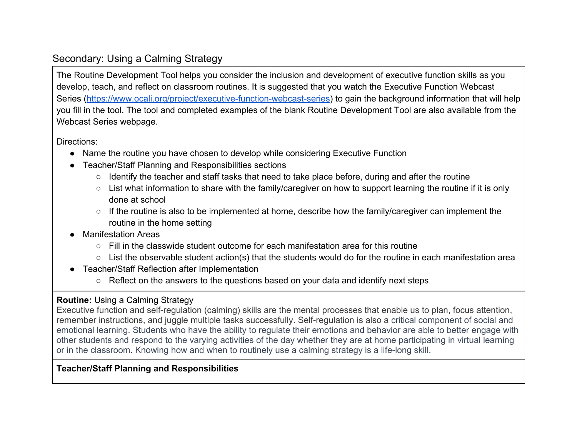## Secondary: Using a Calming Strategy

The Routine Development Tool helps you consider the inclusion and development of executive function skills as you develop, teach, and reflect on classroom routines. It is suggested that you watch the Executive Function Webcast Series [\(https://www.ocali.org/project/executive-function-webcast-series\)](https://www.ocali.org/project/executive-function-webcast-series) to gain the background information that will help you fill in the tool. The tool and completed examples of the blank Routine Development Tool are also available from the Webcast Series webpage.

Directions:

- Name the routine you have chosen to develop while considering Executive Function
- Teacher/Staff Planning and Responsibilities sections
	- Identify the teacher and staff tasks that need to take place before, during and after the routine
	- List what information to share with the family/caregiver on how to support learning the routine if it is only done at school
	- If the routine is also to be implemented at home, describe how the family/caregiver can implement the routine in the home setting
- **Manifestation Areas** 
	- $\circ$  Fill in the classwide student outcome for each manifestation area for this routine
	- List the observable student action(s) that the students would do for the routine in each manifestation area
- Teacher/Staff Reflection after Implementation
	- Reflect on the answers to the questions based on your data and identify next steps

## **Routine:** Using a Calming Strategy

Executive function and self-regulation (calming) skills are the mental processes that enable us to plan, focus attention, remember instructions, and juggle multiple tasks successfully. Self-regulation is also a critical component of social and emotional learning. Students who have the ability to regulate their emotions and behavior are able to better engage with other students and respond to the varying activities of the day whether they are at home participating in virtual learning or in the classroom. Knowing how and when to routinely use a calming strategy is a life-long skill.

## **Teacher/Staff Planning and Responsibilities**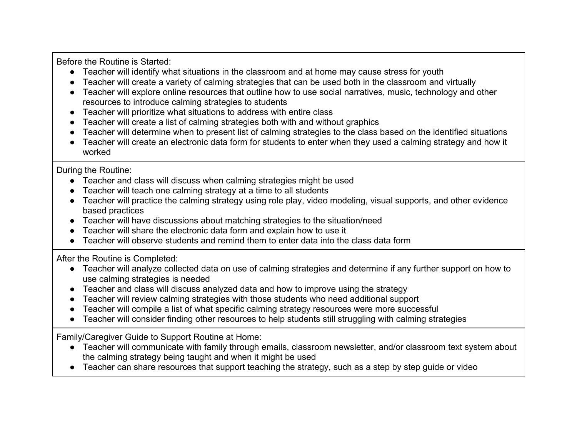Before the Routine is Started:

- Teacher will identify what situations in the classroom and at home may cause stress for youth
- Teacher will create a variety of calming strategies that can be used both in the classroom and virtually
- Teacher will explore online resources that outline how to use social narratives, music, technology and other resources to introduce calming strategies to students
- Teacher will prioritize what situations to address with entire class
- Teacher will create a list of calming strategies both with and without graphics
- Teacher will determine when to present list of calming strategies to the class based on the identified situations
- Teacher will create an electronic data form for students to enter when they used a calming strategy and how it worked

During the Routine:

- Teacher and class will discuss when calming strategies might be used
- Teacher will teach one calming strategy at a time to all students
- Teacher will practice the calming strategy using role play, video modeling, visual supports, and other evidence based practices
- Teacher will have discussions about matching strategies to the situation/need
- Teacher will share the electronic data form and explain how to use it
- Teacher will observe students and remind them to enter data into the class data form

After the Routine is Completed:

- Teacher will analyze collected data on use of calming strategies and determine if any further support on how to use calming strategies is needed
- Teacher and class will discuss analyzed data and how to improve using the strategy
- Teacher will review calming strategies with those students who need additional support
- Teacher will compile a list of what specific calming strategy resources were more successful
- Teacher will consider finding other resources to help students still struggling with calming strategies

Family/Caregiver Guide to Support Routine at Home:

- Teacher will communicate with family through emails, classroom newsletter, and/or classroom text system about the calming strategy being taught and when it might be used
- Teacher can share resources that support teaching the strategy, such as a step by step guide or video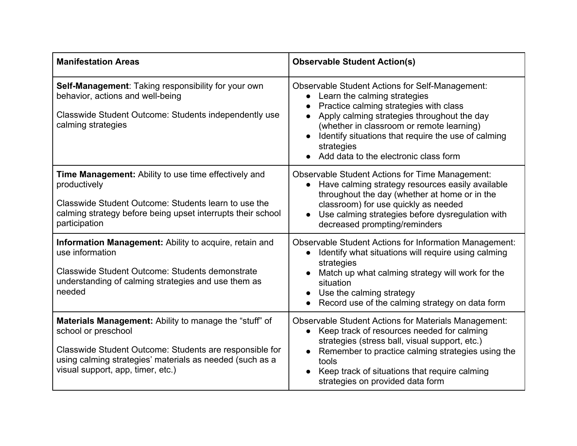| <b>Manifestation Areas</b>                                                                                                                                                                                                                       | <b>Observable Student Action(s)</b>                                                                                                                                                                                                                                                                                                                     |
|--------------------------------------------------------------------------------------------------------------------------------------------------------------------------------------------------------------------------------------------------|---------------------------------------------------------------------------------------------------------------------------------------------------------------------------------------------------------------------------------------------------------------------------------------------------------------------------------------------------------|
| Self-Management: Taking responsibility for your own<br>behavior, actions and well-being<br>Classwide Student Outcome: Students independently use<br>calming strategies                                                                           | <b>Observable Student Actions for Self-Management:</b><br>Learn the calming strategies<br>$\bullet$<br>Practice calming strategies with class<br>Apply calming strategies throughout the day<br>(whether in classroom or remote learning)<br>Identify situations that require the use of calming<br>strategies<br>Add data to the electronic class form |
| <b>Time Management:</b> Ability to use time effectively and<br>productively<br>Classwide Student Outcome: Students learn to use the<br>calming strategy before being upset interrupts their school<br>participation                              | <b>Observable Student Actions for Time Management:</b><br>Have calming strategy resources easily available<br>$\bullet$<br>throughout the day (whether at home or in the<br>classroom) for use quickly as needed<br>Use calming strategies before dysregulation with<br>decreased prompting/reminders                                                   |
| <b>Information Management:</b> Ability to acquire, retain and<br>use information<br>Classwide Student Outcome: Students demonstrate<br>understanding of calming strategies and use them as<br>needed                                             | <b>Observable Student Actions for Information Management:</b><br>Identify what situations will require using calming<br>$\bullet$<br>strategies<br>Match up what calming strategy will work for the<br>situation<br>Use the calming strategy<br>Record use of the calming strategy on data form                                                         |
| <b>Materials Management:</b> Ability to manage the "stuff" of<br>school or preschool<br>Classwide Student Outcome: Students are responsible for<br>using calming strategies' materials as needed (such as a<br>visual support, app, timer, etc.) | <b>Observable Student Actions for Materials Management:</b><br>Keep track of resources needed for calming<br>$\bullet$<br>strategies (stress ball, visual support, etc.)<br>Remember to practice calming strategies using the<br>tools<br>Keep track of situations that require calming<br>strategies on provided data form                             |